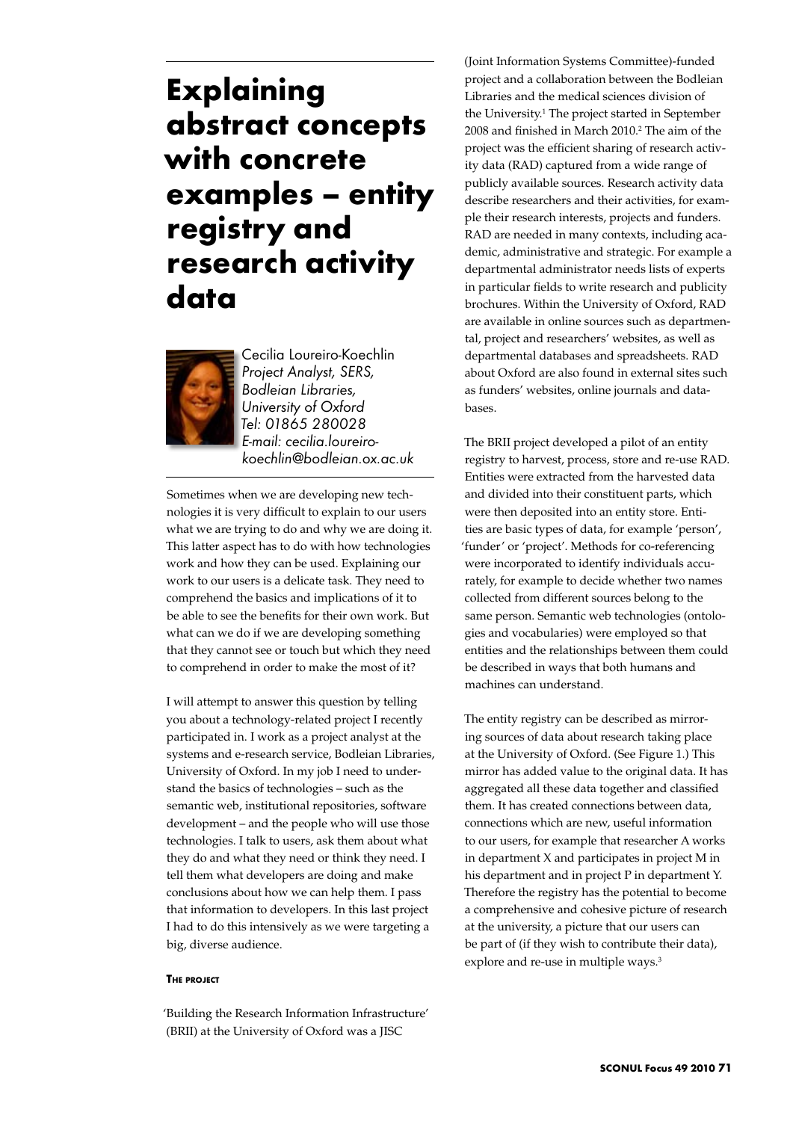# **Explaining abstract concepts with concrete examples – entity registry and research activity data**



Cecilia Loureiro-Koechlin *Project Analyst, SERS, Bodleian Libraries, University of Oxford Tel: 01865 280028 E-mail: cecilia.loureirokoechlin@bodleian.ox.ac.uk* 

Sometimes when we are developing new technologies it is very difficult to explain to our users what we are trying to do and why we are doing it. This latter aspect has to do with how technologies work and how they can be used. Explaining our work to our users is a delicate task. They need to comprehend the basics and implications of it to be able to see the benefits for their own work. But what can we do if we are developing something that they cannot see or touch but which they need to comprehend in order to make the most of it?

I will attempt to answer this question by telling you about a technology-related project I recently participated in. I work as a project analyst at the systems and e-research service, Bodleian Libraries, University of Oxford. In my job I need to understand the basics of technologies – such as the semantic web, institutional repositories, software development – and the people who will use those technologies. I talk to users, ask them about what they do and what they need or think they need. I tell them what developers are doing and make conclusions about how we can help them. I pass that information to developers. In this last project I had to do this intensively as we were targeting a big, diverse audience.

#### **The project**

'Building the Research Information Infrastructure' (BRII) at the University of Oxford was a JISC

(Joint Information Systems Committee)-funded project and a collaboration between the Bodleian Libraries and the medical sciences division of the University.<sup>1</sup> The project started in September 2008 and finished in March 2010.<sup>2</sup> The aim of the project was the efficient sharing of research activity data (RAD) captured from a wide range of publicly available sources. Research activity data describe researchers and their activities, for example their research interests, projects and funders. RAD are needed in many contexts, including academic, administrative and strategic. For example a departmental administrator needs lists of experts in particular fields to write research and publicity brochures. Within the University of Oxford, RAD are available in online sources such as departmental, project and researchers' websites, as well as departmental databases and spreadsheets. RAD about Oxford are also found in external sites such as funders' websites, online journals and databases.

The BRII project developed a pilot of an entity registry to harvest, process, store and re-use RAD. Entities were extracted from the harvested data and divided into their constituent parts, which were then deposited into an entity store. Entities are basic types of data, for example 'person', 'funder' or 'project'. Methods for co-referencing were incorporated to identify individuals accurately, for example to decide whether two names collected from different sources belong to the same person. Semantic web technologies (ontologies and vocabularies) were employed so that entities and the relationships between them could be described in ways that both humans and machines can understand.

The entity registry can be described as mirroring sources of data about research taking place at the University of Oxford. (See Figure 1.) This mirror has added value to the original data. It has aggregated all these data together and classified them. It has created connections between data, connections which are new, useful information to our users, for example that researcher A works in department X and participates in project M in his department and in project P in department Y. Therefore the registry has the potential to become a comprehensive and cohesive picture of research at the university, a picture that our users can be part of (if they wish to contribute their data), explore and re-use in multiple ways.<sup>3</sup>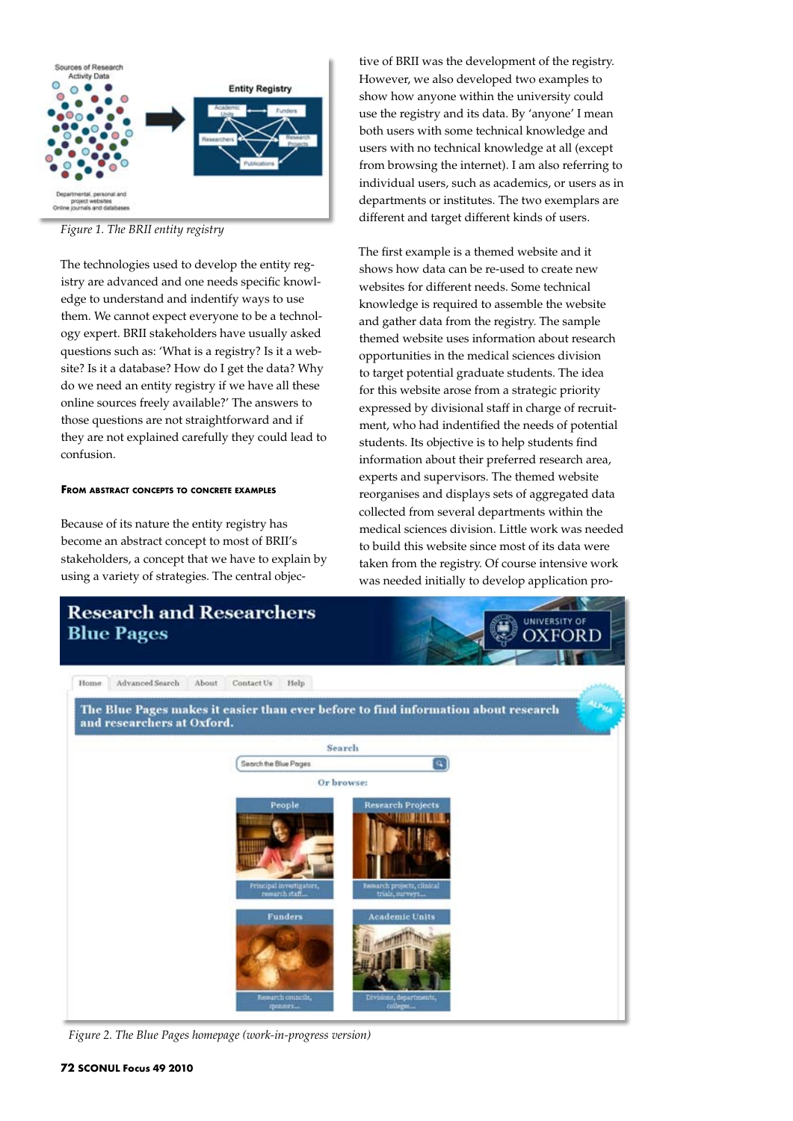

*Figure 1. The BRII entity registry*

The technologies used to develop the entity registry are advanced and one needs specific knowledge to understand and indentify ways to use them. We cannot expect everyone to be a technology expert. BRII stakeholders have usually asked questions such as: 'What is a registry? Is it a website? Is it a database? How do I get the data? Why do we need an entity registry if we have all these online sources freely available?' The answers to those questions are not straightforward and if they are not explained carefully they could lead to confusion.

### **From abstract concepts to concrete examples**

Because of its nature the entity registry has become an abstract concept to most of BRII's stakeholders, a concept that we have to explain by using a variety of strategies. The central objec-

tive of BRII was the development of the registry. However, we also developed two examples to show how anyone within the university could use the registry and its data. By 'anyone' I mean both users with some technical knowledge and users with no technical knowledge at all (except from browsing the internet). I am also referring to individual users, such as academics, or users as in departments or institutes. The two exemplars are different and target different kinds of users.

The first example is a themed website and it shows how data can be re-used to create new websites for different needs. Some technical knowledge is required to assemble the website and gather data from the registry. The sample themed website uses information about research opportunities in the medical sciences division to target potential graduate students. The idea for this website arose from a strategic priority expressed by divisional staff in charge of recruitment, who had indentified the needs of potential students. Its objective is to help students find information about their preferred research area, experts and supervisors. The themed website reorganises and displays sets of aggregated data collected from several departments within the medical sciences division. Little work was needed to build this website since most of its data were taken from the registry. Of course intensive work was needed initially to develop application pro-



*Figure 2. The Blue Pages homepage (work-in-progress version)*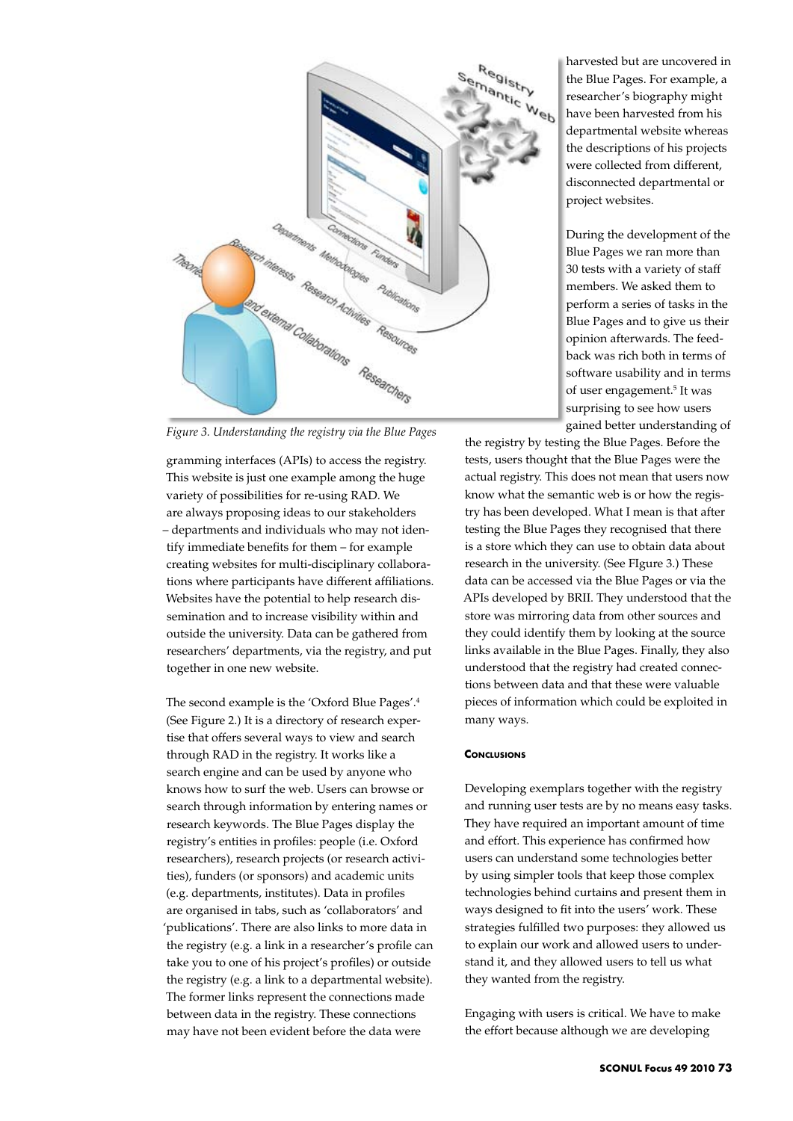

*Figure 3. Understanding the registry via the Blue Pages*

gramming interfaces (APIs) to access the registry. This website is just one example among the huge variety of possibilities for re-using RAD. We are always proposing ideas to our stakeholders – departments and individuals who may not identify immediate benefits for them – for example creating websites for multi-disciplinary collaborations where participants have different affiliations. Websites have the potential to help research dissemination and to increase visibility within and outside the university. Data can be gathered from researchers' departments, via the registry, and put together in one new website.

The second example is the 'Oxford Blue Pages'.4 (See Figure 2.) It is a directory of research expertise that offers several ways to view and search through RAD in the registry. It works like a search engine and can be used by anyone who knows how to surf the web. Users can browse or search through information by entering names or research keywords. The Blue Pages display the registry's entities in profiles: people (i.e. Oxford researchers), research projects (or research activities), funders (or sponsors) and academic units (e.g. departments, institutes). Data in profiles are organised in tabs, such as 'collaborators' and 'publications'. There are also links to more data in the registry (e.g. a link in a researcher's profile can take you to one of his project's profiles) or outside the registry (e.g. a link to a departmental website). The former links represent the connections made between data in the registry. These connections may have not been evident before the data were

harvested but are uncovered in the Blue Pages. For example, a researcher's biography might have been harvested from his departmental website whereas the descriptions of his projects were collected from different, disconnected departmental or project websites.

During the development of the Blue Pages we ran more than 30 tests with a variety of staff members. We asked them to perform a series of tasks in the Blue Pages and to give us their opinion afterwards. The feedback was rich both in terms of software usability and in terms of user engagement.<sup>5</sup> It was surprising to see how users gained better understanding of

the registry by testing the Blue Pages. Before the tests, users thought that the Blue Pages were the actual registry. This does not mean that users now know what the semantic web is or how the registry has been developed. What I mean is that after testing the Blue Pages they recognised that there is a store which they can use to obtain data about research in the university. (See FIgure 3.) These data can be accessed via the Blue Pages or via the APIs developed by BRII. They understood that the store was mirroring data from other sources and they could identify them by looking at the source links available in the Blue Pages. Finally, they also understood that the registry had created connections between data and that these were valuable pieces of information which could be exploited in many ways.

## **Conclusions**

Developing exemplars together with the registry and running user tests are by no means easy tasks. They have required an important amount of time and effort. This experience has confirmed how users can understand some technologies better by using simpler tools that keep those complex technologies behind curtains and present them in ways designed to fit into the users' work. These strategies fulfilled two purposes: they allowed us to explain our work and allowed users to understand it, and they allowed users to tell us what they wanted from the registry.

Engaging with users is critical. We have to make the effort because although we are developing